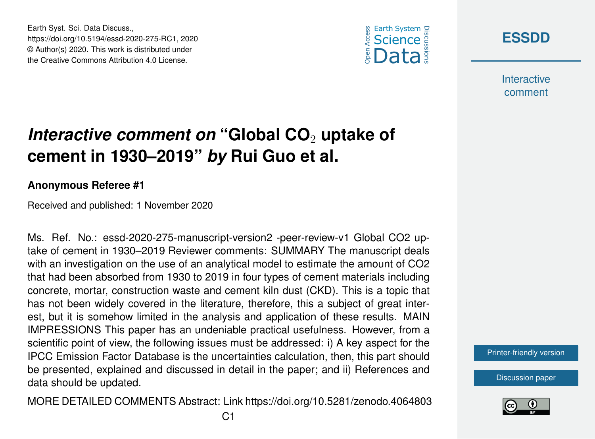





**Interactive** comment

# *Interactive comment on* "Global CO<sub>2</sub> uptake of **cement in 1930–2019"** *by* **Rui Guo et al.**

#### **Anonymous Referee #1**

Received and published: 1 November 2020

Ms. Ref. No.: essd-2020-275-manuscript-version2 -peer-review-v1 Global CO2 uptake of cement in 1930–2019 Reviewer comments: SUMMARY The manuscript deals with an investigation on the use of an analytical model to estimate the amount of CO2 that had been absorbed from 1930 to 2019 in four types of cement materials including concrete, mortar, construction waste and cement kiln dust (CKD). This is a topic that has not been widely covered in the literature, therefore, this a subject of great interest, but it is somehow limited in the analysis and application of these results. MAIN IMPRESSIONS This paper has an undeniable practical usefulness. However, from a scientific point of view, the following issues must be addressed: i) A key aspect for the IPCC Emission Factor Database is the uncertainties calculation, then, this part should be presented, explained and discussed in detail in the paper; and ii) References and data should be updated.

MORE DETAILED COMMENTS Abstract: Link https://doi.org/10.5281/zenodo.4064803



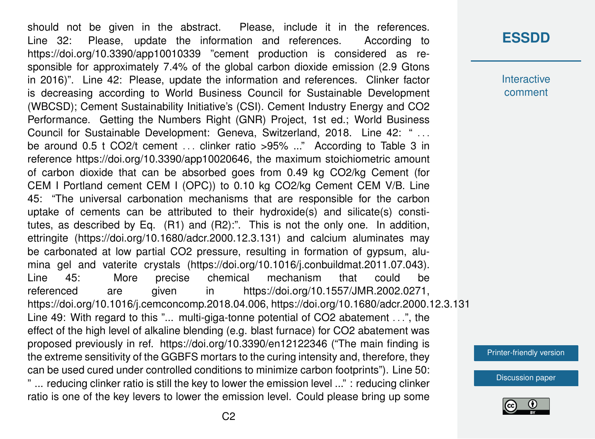should not be given in the abstract. Please, include it in the references. Line 32: Please, update the information and references. According to https://doi.org/10.3390/app10010339 "cement production is considered as responsible for approximately 7.4% of the global carbon dioxide emission (2.9 Gtons in 2016)". Line 42: Please, update the information and references. Clinker factor is decreasing according to World Business Council for Sustainable Development (WBCSD); Cement Sustainability Initiative's (CSI). Cement Industry Energy and CO2 Performance. Getting the Numbers Right (GNR) Project, 1st ed.; World Business Council for Sustainable Development: Geneva, Switzerland, 2018. Line 42: " ... be around 0.5 t CO2/t cement ... clinker ratio >95% ..." According to Table 3 in reference https://doi.org/10.3390/app10020646, the maximum stoichiometric amount of carbon dioxide that can be absorbed goes from 0.49 kg CO2/kg Cement (for CEM I Portland cement CEM I (OPC)) to 0.10 kg CO2/kg Cement CEM V/B. Line 45: "The universal carbonation mechanisms that are responsible for the carbon uptake of cements can be attributed to their hydroxide(s) and silicate(s) constitutes, as described by Eq. (R1) and (R2):". This is not the only one. In addition, ettringite (https://doi.org/10.1680/adcr.2000.12.3.131) and calcium aluminates may be carbonated at low partial CO2 pressure, resulting in formation of gypsum, alumina gel and vaterite crystals (https://doi.org/10.1016/j.conbuildmat.2011.07.043). Line 45: More precise chemical mechanism that could be referenced are given in https://doi.org/10.1557/JMR.2002.0271, https://doi.org/10.1016/j.cemconcomp.2018.04.006, https://doi.org/10.1680/adcr.2000.12.3.131 Line 49: With regard to this "... multi-giga-tonne potential of CO2 abatement . . .", the effect of the high level of alkaline blending (e.g. blast furnace) for CO2 abatement was proposed previously in ref. https://doi.org/10.3390/en12122346 ("The main finding is the extreme sensitivity of the GGBFS mortars to the curing intensity and, therefore, they can be used cured under controlled conditions to minimize carbon footprints"). Line 50: " ... reducing clinker ratio is still the key to lower the emission level ..." : reducing clinker ratio is one of the key levers to lower the emission level. Could please bring up some

#### **[ESSDD](https://essd.copernicus.org/preprints/)**

**Interactive** comment

[Printer-friendly version](https://essd.copernicus.org/preprints/essd-2020-275/essd-2020-275-RC1-print.pdf)

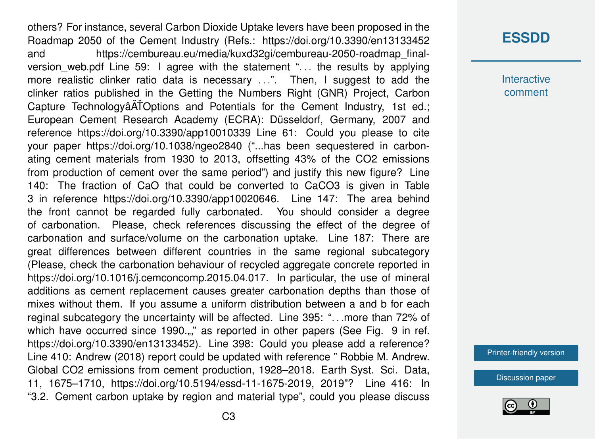others? For instance, several Carbon Dioxide Uptake levers have been proposed in the Roadmap 2050 of the Cement Industry (Refs.: https://doi.org/10.3390/en13133452 and https://cembureau.eu/media/kuxd32gi/cembureau-2050-roadmap\_finalversion\_web.pdf Line 59: I agree with the statement ". . . the results by applying more realistic clinker ratio data is necessary ...". Then, I suggest to add the clinker ratios published in the Getting the Numbers Right (GNR) Project, Carbon Capture TechnologyâATOptions and Potentials for the Cement Industry, 1st ed.; European Cement Research Academy (ECRA): Düsseldorf, Germany, 2007 and reference https://doi.org/10.3390/app10010339 Line 61: Could you please to cite your paper https://doi.org/10.1038/ngeo2840 ("...has been sequestered in carbonating cement materials from 1930 to 2013, offsetting 43% of the CO2 emissions from production of cement over the same period") and justify this new figure? Line 140: The fraction of CaO that could be converted to CaCO3 is given in Table 3 in reference https://doi.org/10.3390/app10020646. Line 147: The area behind the front cannot be regarded fully carbonated. You should consider a degree of carbonation. Please, check references discussing the effect of the degree of carbonation and surface/volume on the carbonation uptake. Line 187: There are great differences between different countries in the same regional subcategory (Please, check the carbonation behaviour of recycled aggregate concrete reported in https://doi.org/10.1016/j.cemconcomp.2015.04.017. In particular, the use of mineral additions as cement replacement causes greater carbonation depths than those of mixes without them. If you assume a uniform distribution between a and b for each reginal subcategory the uncertainty will be affected. Line 395: ". . .more than 72% of which have occurred since 1990...," as reported in other papers (See Fig. 9 in ref. https://doi.org/10.3390/en13133452). Line 398: Could you please add a reference? Line 410: Andrew (2018) report could be updated with reference " Robbie M. Andrew. Global CO2 emissions from cement production, 1928–2018. Earth Syst. Sci. Data, 11, 1675–1710, https://doi.org/10.5194/essd-11-1675-2019, 2019"? Line 416: In "3.2. Cement carbon uptake by region and material type", could you please discuss

## **[ESSDD](https://essd.copernicus.org/preprints/)**

**Interactive** comment

[Printer-friendly version](https://essd.copernicus.org/preprints/essd-2020-275/essd-2020-275-RC1-print.pdf)

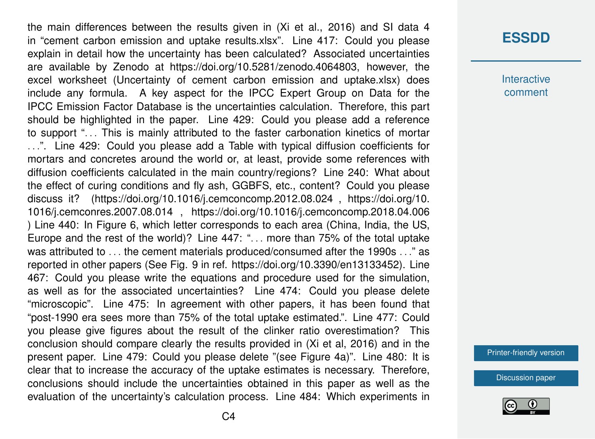the main differences between the results given in (Xi et al., 2016) and SI data 4 in "cement carbon emission and uptake results.xlsx". Line 417: Could you please explain in detail how the uncertainty has been calculated? Associated uncertainties are available by Zenodo at https://doi.org/10.5281/zenodo.4064803, however, the excel worksheet (Uncertainty of cement carbon emission and uptake.xlsx) does include any formula. A key aspect for the IPCC Expert Group on Data for the IPCC Emission Factor Database is the uncertainties calculation. Therefore, this part should be highlighted in the paper. Line 429: Could you please add a reference to support ". . . This is mainly attributed to the faster carbonation kinetics of mortar ...". Line 429: Could you please add a Table with typical diffusion coefficients for mortars and concretes around the world or, at least, provide some references with diffusion coefficients calculated in the main country/regions? Line 240: What about the effect of curing conditions and fly ash, GGBFS, etc., content? Could you please discuss it? (https://doi.org/10.1016/j.cemconcomp.2012.08.024 , https://doi.org/10. 1016/j.cemconres.2007.08.014 , https://doi.org/10.1016/j.cemconcomp.2018.04.006 ) Line 440: In Figure 6, which letter corresponds to each area (China, India, the US, Europe and the rest of the world)? Line 447: "... more than 75% of the total uptake was attributed to ... the cement materials produced/consumed after the 1990s ..." as reported in other papers (See Fig. 9 in ref. https://doi.org/10.3390/en13133452). Line 467: Could you please write the equations and procedure used for the simulation, as well as for the associated uncertainties? Line 474: Could you please delete "microscopic". Line 475: In agreement with other papers, it has been found that "post-1990 era sees more than 75% of the total uptake estimated.". Line 477: Could you please give figures about the result of the clinker ratio overestimation? This conclusion should compare clearly the results provided in (Xi et al, 2016) and in the present paper. Line 479: Could you please delete "(see Figure 4a)". Line 480: It is clear that to increase the accuracy of the uptake estimates is necessary. Therefore, conclusions should include the uncertainties obtained in this paper as well as the evaluation of the uncertainty's calculation process. Line 484: Which experiments in

### **[ESSDD](https://essd.copernicus.org/preprints/)**

**Interactive** comment

[Printer-friendly version](https://essd.copernicus.org/preprints/essd-2020-275/essd-2020-275-RC1-print.pdf)